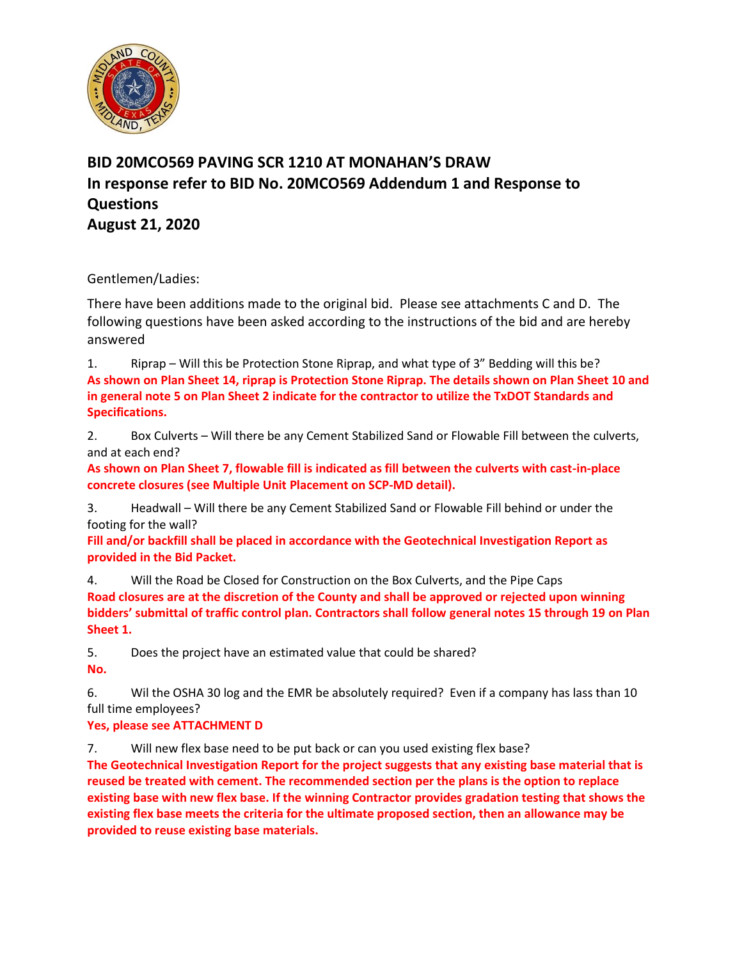

## **BID 20MCO569 PAVING SCR 1210 AT MONAHAN'S DRAW In response refer to BID No. 20MCO569 Addendum 1 and Response to Questions August 21, 2020**

Gentlemen/Ladies:

There have been additions made to the original bid. Please see attachments C and D. The following questions have been asked according to the instructions of the bid and are hereby answered

1. Riprap – Will this be Protection Stone Riprap, and what type of 3" Bedding will this be? **As shown on Plan Sheet 14, riprap is Protection Stone Riprap. The details shown on Plan Sheet 10 and in general note 5 on Plan Sheet 2 indicate for the contractor to utilize the TxDOT Standards and Specifications.**

2. Box Culverts – Will there be any Cement Stabilized Sand or Flowable Fill between the culverts, and at each end?

**As shown on Plan Sheet 7, flowable fill is indicated as fill between the culverts with cast-in-place concrete closures (see Multiple Unit Placement on SCP-MD detail).**

3. Headwall – Will there be any Cement Stabilized Sand or Flowable Fill behind or under the footing for the wall?

**Fill and/or backfill shall be placed in accordance with the Geotechnical Investigation Report as provided in the Bid Packet.**

4. Will the Road be Closed for Construction on the Box Culverts, and the Pipe Caps **Road closures are at the discretion of the County and shall be approved or rejected upon winning bidders' submittal of traffic control plan. Contractors shall follow general notes 15 through 19 on Plan Sheet 1.**

5. Does the project have an estimated value that could be shared? **No.**

6. Wil the OSHA 30 log and the EMR be absolutely required? Even if a company has lass than 10 full time employees?

**Yes, please see ATTACHMENT D**

7. Will new flex base need to be put back or can you used existing flex base?

**The Geotechnical Investigation Report for the project suggests that any existing base material that is reused be treated with cement. The recommended section per the plans is the option to replace existing base with new flex base. If the winning Contractor provides gradation testing that shows the existing flex base meets the criteria for the ultimate proposed section, then an allowance may be provided to reuse existing base materials.**